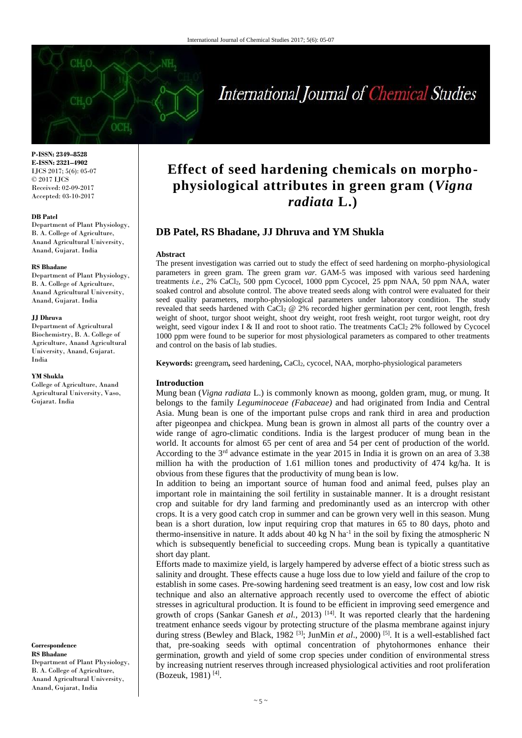

**P-ISSN: 2349–8528 E-ISSN: 2321–4902** IJCS 2017; 5(6): 05-07 © 2017 IJCS Received: 02-09-2017 Accepted: 03-10-2017

### **DB Patel**

Department of Plant Physiology, B. A. College of Agriculture, Anand Agricultural University, Anand, Gujarat. India

#### **RS Bhadane**

Department of Plant Physiology, B. A. College of Agriculture, Anand Agricultural University, Anand, Gujarat. India

## **JJ Dhruva**

Department of Agricultural Biochemistry, B. A. College of Agriculture, Anand Agricultural University, Anand, Gujarat. India

#### **YM Shukla**

College of Agriculture, Anand Agricultural University, Vaso, Gujarat. India

**Correspondence RS Bhadane** Department of Plant Physiology,

B. A. College of Agriculture, Anand Agricultural University, Anand, Gujarat, India

# **Effect of seed hardening chemicals on morphophysiological attributes in green gram (***Vigna radiata* **L.)**

# **DB Patel, RS Bhadane, JJ Dhruva and YM Shukla**

#### **Abstract**

The present investigation was carried out to study the effect of seed hardening on morpho-physiological parameters in green gram. The green gram *var.* GAM-5 was imposed with various seed hardening treatments *i.e*., 2% CaCl2, 500 ppm Cycocel, 1000 ppm Cycocel, 25 ppm NAA, 50 ppm NAA, water soaked control and absolute control. The above treated seeds along with control were evaluated for their seed quality parameters, morpho-physiological parameters under laboratory condition. The study revealed that seeds hardened with CaCl<sup>2</sup> @ 2% recorded higher germination per cent, root length, fresh weight of shoot, turgor shoot weight, shoot dry weight, root fresh weight, root turgor weight, root dry weight, seed vigour index I & II and root to shoot ratio. The treatments CaCl<sub>2</sub> 2% followed by Cycocel 1000 ppm were found to be superior for most physiological parameters as compared to other treatments and control on the basis of lab studies.

**Keywords:** greengram**,** seed hardening**,** CaCl2, cycocel, NAA, morpho-physiological parameters

## **Introduction**

Mung bean (*Vigna radiata* L.) is commonly known as moong, golden gram, mug, or mung. It belongs to the family *Leguminoceae (Fabaceae)* and had originated from India and Central Asia. Mung bean is one of the important pulse crops and rank third in area and production after pigeonpea and chickpea. Mung bean is grown in almost all parts of the country over a wide range of agro-climatic conditions. India is the largest producer of mung bean in the world. It accounts for almost 65 per cent of area and 54 per cent of production of the world. According to the  $3<sup>rd</sup>$  advance estimate in the year 2015 in India it is grown on an area of 3.38 million ha with the production of 1.61 million tones and productivity of 474 kg/ha. It is obvious from these figures that the productivity of mung bean is low.

In addition to being an important source of human food and animal feed, pulses play an important role in maintaining the soil fertility in sustainable manner. It is a drought resistant crop and suitable for dry land farming and predominantly used as an intercrop with other crops. It is a very good catch crop in summer and can be grown very well in this season. Mung bean is a short duration, low input requiring crop that matures in 65 to 80 days, photo and thermo-insensitive in nature. It adds about 40 kg N ha<sup>-1</sup> in the soil by fixing the atmospheric N which is subsequently beneficial to succeeding crops. Mung bean is typically a quantitative short day plant.

Efforts made to maximize yield, is largely hampered by adverse effect of a biotic stress such as salinity and drought. These effects cause a huge loss due to low yield and failure of the crop to establish in some cases. Pre-sowing hardening seed treatment is an easy, low cost and low risk technique and also an alternative approach recently used to overcome the effect of abiotic stresses in agricultural production. It is found to be efficient in improving seed emergence and growth of crops (Sankar Ganesh *et al.*, 2013)<sup>[14]</sup>. It was reported clearly that the hardening treatment enhance seeds vigour by protecting structure of the plasma membrane against injury during stress (Bewley and Black, 1982<sup>[3]</sup>; JunMin *et al.*, 2000)<sup>[5]</sup>. It is a well-established fact that, pre-soaking seeds with optimal concentration of phytohormones enhance their germination, growth and yield of some crop species under condition of environmental stress by increasing nutrient reserves through increased physiological activities and root proliferation (Bozeuk, 1981)<sup>[4]</sup>.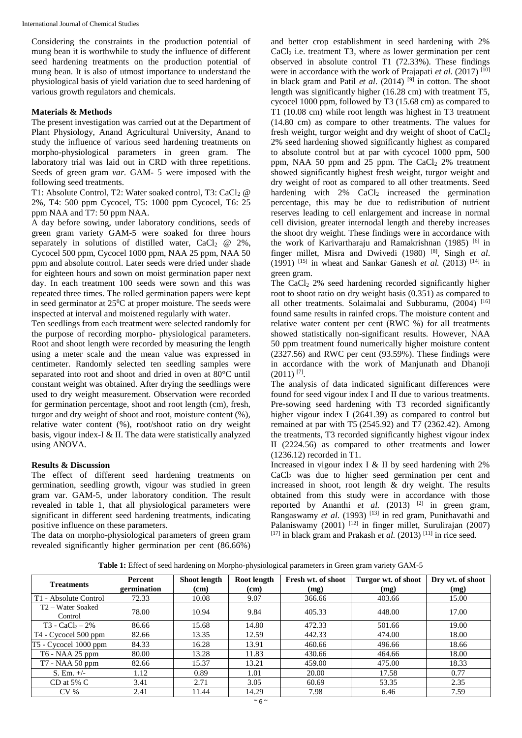Considering the constraints in the production potential of mung bean it is worthwhile to study the influence of different seed hardening treatments on the production potential of mung bean. It is also of utmost importance to understand the physiological basis of yield variation due to seed hardening of various growth regulators and chemicals.

# **Materials & Methods**

The present investigation was carried out at the Department of Plant Physiology, Anand Agricultural University, Anand to study the influence of various seed hardening treatments on morpho-physiological parameters in green gram. The laboratory trial was laid out in CRD with three repetitions. Seeds of green gram *var*. GAM- 5 were imposed with the following seed treatments.

T1: Absolute Control, T2: Water soaked control, T3: CaCl<sub>2</sub> @ 2%, T4: 500 ppm Cycocel, T5: 1000 ppm Cycocel, T6: 25 ppm NAA and T7: 50 ppm NAA.

A day before sowing, under laboratory conditions, seeds of green gram variety GAM-5 were soaked for three hours separately in solutions of distilled water,  $CaCl<sub>2</sub> @ 2\%,$ Cycocel 500 ppm, Cycocel 1000 ppm, NAA 25 ppm, NAA 50 ppm and absolute control. Later seeds were dried under shade for eighteen hours and sown on moist germination paper next day. In each treatment 100 seeds were sown and this was repeated three times. The rolled germination papers were kept in seed germinator at  $25^{\circ}$ C at proper moisture. The seeds were inspected at interval and moistened regularly with water.

Ten seedlings from each treatment were selected randomly for the purpose of recording morpho- physiological parameters. Root and shoot length were recorded by measuring the length using a meter scale and the mean value was expressed in centimeter. Randomly selected ten seedling samples were separated into root and shoot and dried in oven at 80°C until constant weight was obtained. After drying the seedlings were used to dry weight measurement. Observation were recorded for germination percentage, shoot and root length (cm), fresh, turgor and dry weight of shoot and root, moisture content (%), relative water content (%), root/shoot ratio on dry weight basis, vigour index-I & II. The data were statistically analyzed using ANOVA.

# **Results & Discussion**

The effect of different seed hardening treatments on germination, seedling growth, vigour was studied in green gram var. GAM-5, under laboratory condition. The result revealed in table 1, that all physiological parameters were significant in different seed hardening treatments, indicating positive influence on these parameters.

The data on morpho-physiological parameters of green gram revealed significantly higher germination per cent (86.66%)

and better crop establishment in seed hardening with 2%  $CaCl<sub>2</sub>$  i.e. treatment T3, where as lower germination per cent observed in absolute control T1 (72.33%). These findings were in accordance with the work of Prajapati *et al.* (2017)<sup>[10]</sup> in black gram and Patil *et al.* (2014)  $^{[9]}$  in cotton. The shoot length was significantly higher (16.28 cm) with treatment T5, cycocel 1000 ppm, followed by T3 (15.68 cm) as compared to T1 (10.08 cm) while root length was highest in T3 treatment (14.80 cm) as compare to other treatments. The values for fresh weight, turgor weight and dry weight of shoot of  $CaCl<sub>2</sub>$ 2% seed hardening showed significantly highest as compared to absolute control but at par with cycocel 1000 ppm, 500 ppm, NAA 50 ppm and  $25$  ppm. The CaCl<sub>2</sub> 2% treatment showed significantly highest fresh weight, turgor weight and dry weight of root as compared to all other treatments. Seed hardening with  $2\%$  CaCl<sub>2</sub> increased the germination percentage, this may be due to redistribution of nutrient reserves leading to cell enlargement and increase in normal cell division, greater internodal length and thereby increases the shoot dry weight. These findings were in accordance with the work of Karivartharaju and Ramakrishnan (1985)  $[6]$  in finger millet, Misra and Dwivedi (1980) [8], Singh *et al*. (1991) <sup>[15]</sup> in wheat and Sankar Ganesh *et al.* (2013) <sup>[14]</sup> in green gram.

The CaCl<sub>2</sub> 2% seed hardening recorded significantly higher root to shoot ratio on dry weight basis (0.351) as compared to all other treatments. Solaimalai and Subburamu,  $(2004)$ <sup>[16]</sup> found same results in rainfed crops. The moisture content and relative water content per cent (RWC %) for all treatments showed statistically non-significant results. However, NAA 50 ppm treatment found numerically higher moisture content (2327.56) and RWC per cent (93.59%). These findings were in accordance with the work of Manjunath and Dhanoji  $(2011)$ <sup>[7]</sup>.

The analysis of data indicated significant differences were found for seed vigour index I and II due to various treatments. Pre-sowing seed hardening with T3 recorded significantly higher vigour index I (2641.39) as compared to control but remained at par with T5 (2545.92) and T7 (2362.42). Among the treatments, T3 recorded significantly highest vigour index II (2224.56) as compared to other treatments and lower (1236.12) recorded in T1.

Increased in vigour index I & II by seed hardening with 2% CaCl<sub>2</sub> was due to higher seed germination per cent and increased in shoot, root length & dry weight. The results obtained from this study were in accordance with those reported by Ananthi *et al.* (2013) <sup>[2]</sup> in green gram, Rangaswamy *et al.* (1993) <sup>[13]</sup> in red gram, Punithavathi and Palaniswamy  $(2001)$ <sup>[12]</sup> in finger millet, Surulirajan  $(2007)$  $[17]$  in black gram and Prakash *et al.* (2013)<sup>[11]</sup> in rice seed.

**Table 1:** Effect of seed hardening on Morpho-physiological parameters in Green gram variety GAM-5

| <b>Treatments</b>                        | <b>Percent</b><br>germination | <b>Shoot length</b><br>(cm) | Root length<br>(cm) | Fresh wt. of shoot<br>(mg) | Turgor wt. of shoot<br>(mg) | Dry wt. of shoot<br>(mg) |
|------------------------------------------|-------------------------------|-----------------------------|---------------------|----------------------------|-----------------------------|--------------------------|
| T1 - Absolute Control                    | 72.33                         | 10.08                       | 9.07                | 366.66                     | 403.66                      | 15.00                    |
| T <sub>2</sub> – Water Soaked<br>Control | 78.00                         | 10.94                       | 9.84                | 405.33                     | 448.00                      | 17.00                    |
| $T3 - CaCl2 - 2%$                        | 86.66                         | 15.68                       | 14.80               | 472.33                     | 501.66                      | 19.00                    |
| $T4 - Cycocel 500 ppm$                   | 82.66                         | 13.35                       | 12.59               | 442.33                     | 474.00                      | 18.00                    |
| T5 - Cycocel 1000 ppm                    | 84.33                         | 16.28                       | 13.91               | 460.66                     | 496.66                      | 18.66                    |
| T6 - NAA 25 ppm                          | 80.00                         | 13.28                       | 11.83               | 430.66                     | 464.66                      | 18.00                    |
| $T7 - NAA$ 50 ppm                        | 82.66                         | 15.37                       | 13.21               | 459.00                     | 475.00                      | 18.33                    |
| S. Em. $+/-$                             | 1.12                          | 0.89                        | 1.01                | 20.00                      | 17.58                       | 0.77                     |
| $CD$ at 5% $C$                           | 3.41                          | 2.71                        | 3.05                | 60.69                      | 53.35                       | 2.35                     |
| $CV\%$                                   | 2.41                          | 11.44                       | 14.29               | 7.98                       | 6.46                        | 7.59                     |